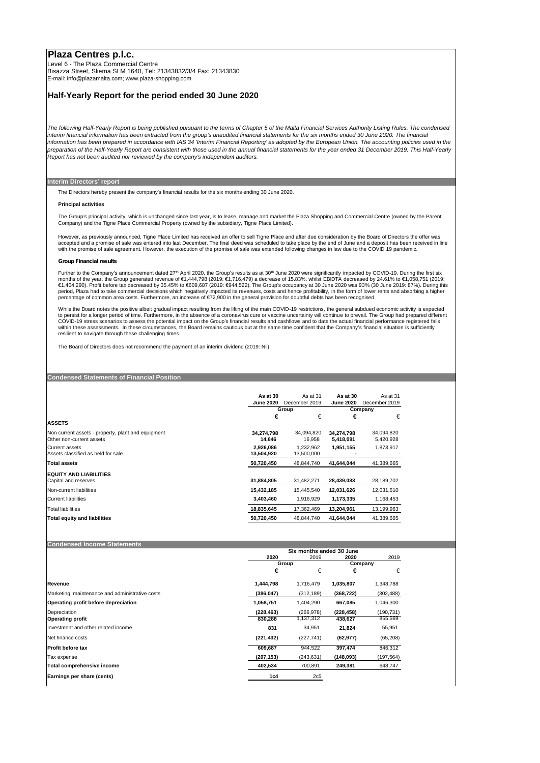# **Plaza Centres p.l.c.**

Level 6 - The Plaza Commercial Centre Bisazza Street, Sliema SLM 1640, Tel: 21343832/3/4 Fax: 21343830 E-mail: info@plazamalta.com; www.plaza-shopping.com

### **Half-Yearly Report for the period ended 30 June 2020**

*The following Half-Yearly Report is being published pursuant to the terms of Chapter 5 of the Malta Financial Services Authority Listing Rules. The condensed interim financial information has been extracted from the group's unaudited financial statements for the six months ended 30 June 2020. The financial information has been prepared in accordance with IAS 34 'Interim Financial Reporting' as adopted by the European Union. The accounting policies used in the preparation of the Half-Yearly Report are consistent with those used in the annual financial statements for the year ended 31 December 2019. This Half-Yearly Report has not been audited nor reviewed by the company's independent auditors.*

### **Interim Directors' report**

The Directors hereby present the company's financial results for the six months ending 30 June 2020.

#### **Principal activities**

The Group's principal activity, which is unchanged since last year, is to lease, manage and market the Plaza Shopping and Commercial Centre (owned by the Parent Company) and the Tigne Place Commercial Property (owned by the subsidiary, Tigne Place Limited).

However, as previously announced, Tigne Place Limited has received an offer to sell Tigne Place and after due consideration by the Board of Directors the offer was accepted and a promise of sale was entered into last December. The final deed was scheduled to take place by the end of June and a deposit has been received in line recorded in line and a deposit has been received in line

### *Group Financial results*

Further to the Company's announcement dated 27<sup>th</sup> April 2020, the Group's results as at 30<sup>th</sup> June 2020 were significantly impacted by COVID-19. During the first six months of the year, the Group generated revenue of €1,444,798 (2019: €1,716,479) a decrease of 15.83%, whilst EBIDTA decreased by 24.61% to €1,058,751 (2019:<br>€1,404,290). Profit before tax decreased by 35.45% to €609,687

While the Board notes the positive albeit gradual impact resulting from the lifting of the main COVID-19 restrictions, the general subdued economic activity is expected<br>to persist for a longer period of time. Furthermore, within these assessments. In these circumstances, the Board remains cautious but at the same time confident that the Company's financial situation is sufficiently resilient to navigate through these challenging times.

The Board of Directors does not recommend the payment of an interim dividend (2019: Nil).

## **Condensed Statements of Financial Position**

|                                                    | As at 30         | As at 31      | As at 30         | As at 31      |
|----------------------------------------------------|------------------|---------------|------------------|---------------|
|                                                    | <b>June 2020</b> | December 2019 | <b>June 2020</b> | December 2019 |
|                                                    |                  | Group         |                  | Company       |
|                                                    | €                | €             | €                | €             |
| <b>ASSETS</b>                                      |                  |               |                  |               |
| Non current assets - property, plant and equipment | 34,274,798       | 34,094,820    | 34,274,798       | 34,094,820    |
| Other non-current assets                           | 14,646           | 16,958        | 5,418,091        | 5,420,928     |
| <b>Current assets</b>                              | 2,926,086        | 1,232,962     | 1,951,155        | 1,873,917     |
| Assets classified as held for sale                 | 13.504.920       | 13,500,000    |                  |               |
| <b>Total assets</b>                                | 50,720,450       | 48.844.740    | 41,644,044       | 41,389,665    |
| <b>EQUITY AND LIABILITIES</b>                      |                  |               |                  |               |
| Capital and reserves                               | 31,884,805       | 31,482,271    | 28,439,083       | 28,189,702    |
| Non-current liabilities                            | 15,432,185       | 15,445,540    | 12,031,626       | 12,031,510    |
| <b>Current liabilities</b>                         | 3,403,460        | 1,916,929     | 1,173,335        | 1,168,453     |
| Total liabilities                                  | 18,835,645       | 17,362,469    | 13.204.961       | 13,199,963    |
| <b>Total equity and liabilities</b>                | 50,720,450       | 48.844.740    | 41,644,044       | 41,389,665    |

#### **Condensed Income Statements**

|                                                 | Six months ended 30 June |            |            |            |  |
|-------------------------------------------------|--------------------------|------------|------------|------------|--|
|                                                 | 2020                     | 2019       | 2020       | 2019       |  |
|                                                 | Group                    |            | Company    |            |  |
|                                                 | €                        | €          | €          | €          |  |
| Revenue                                         | 1,444,798                | 1,716,479  | 1,035,807  | 1,348,788  |  |
| Marketing, maintenance and administrative costs | (386,047)                | (312, 189) | (368, 722) | (302, 488) |  |
| Operating profit before depreciation            | 1,058,751                | 1,404,290  | 667,085    | 1,046,300  |  |
| Depreciation                                    | (228,463)                | (266, 978) | (228, 458) | (190, 731) |  |
| <b>Operating profit</b>                         | 830,288                  | 1.137.312  | 438,627    | 855,569    |  |
| Investment and other related income             | 831                      | 34,951     | 21,824     | 55,951     |  |
| Net finance costs                               | (221, 432)               | (227, 741) | (62, 977)  | (65, 208)  |  |
| <b>Profit before tax</b>                        | 609,687                  | 944,522    | 397,474    | 846,312    |  |
| Tax expense                                     | (207, 153)               | (243, 631) | (148,093)  | (197, 564) |  |
| Total comprehensive income                      | 402,534                  | 700,891    | 249,381    | 648,747    |  |
| Earnings per share (cents)                      | 1c4                      | 2c5        |            |            |  |